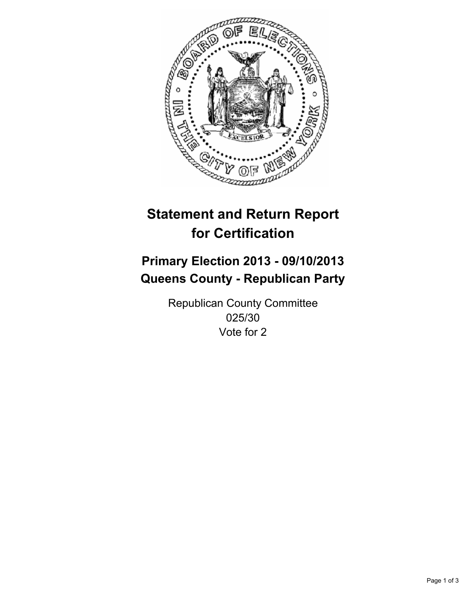

# **Statement and Return Report for Certification**

# **Primary Election 2013 - 09/10/2013 Queens County - Republican Party**

Republican County Committee 025/30 Vote for 2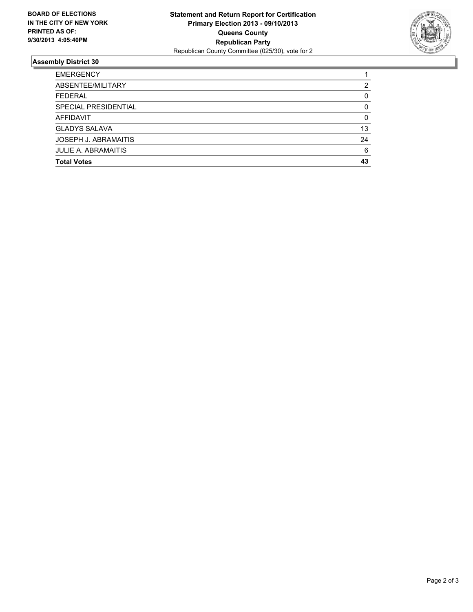

## **Assembly District 30**

| <b>EMERGENCY</b>            |          |
|-----------------------------|----------|
| ABSENTEE/MILITARY           | 2        |
| <b>FEDERAL</b>              | 0        |
| SPECIAL PRESIDENTIAL        | $\Omega$ |
| AFFIDAVIT                   | $\Omega$ |
| <b>GLADYS SALAVA</b>        | 13       |
| <b>JOSEPH J. ABRAMAITIS</b> | 24       |
| <b>JULIE A. ABRAMAITIS</b>  | 6        |
| <b>Total Votes</b>          | 43       |